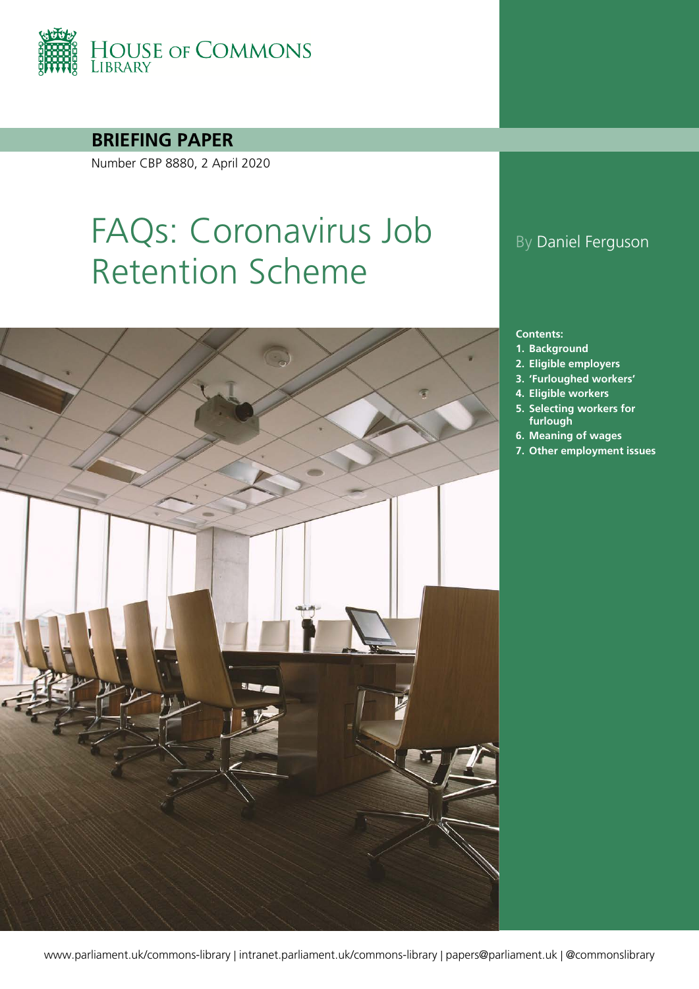

**BRIEFING PAPER**

Number CBP 8880, 2 April 2020

# FAQs: Coronavirus Job Retention Scheme



### By Daniel Ferguson

#### **Contents:**

- **1. [Background](#page-3-0)**
- **2. [Eligible employers](#page-5-0)**
- **3. ['Furloughed workers'](#page-7-0)**
- **4. [Eligible workers](#page-9-0)**
- **5. [Selecting workers for](#page-12-0)  [furlough](#page-12-0)**
- **6. [Meaning of wages](#page-16-0)**
- **7. [Other employment issues](#page-18-0)**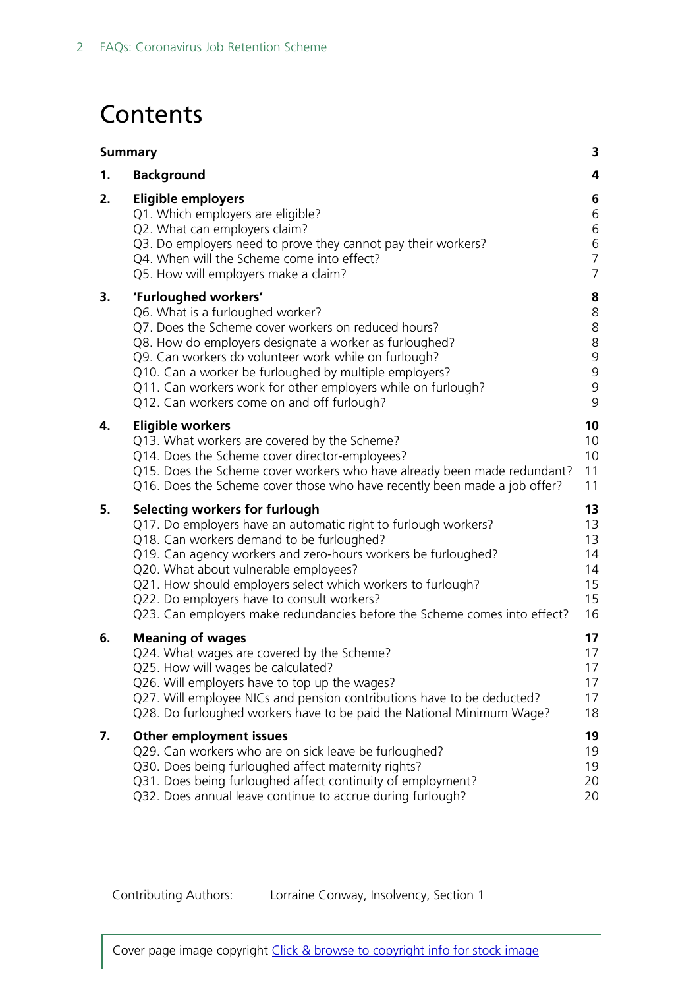## **Contents**

| <b>Summary</b> |                                                                                                                                                                                                                                                                                                                                                                                                                                                   | 3                                                           |
|----------------|---------------------------------------------------------------------------------------------------------------------------------------------------------------------------------------------------------------------------------------------------------------------------------------------------------------------------------------------------------------------------------------------------------------------------------------------------|-------------------------------------------------------------|
| 1.             | <b>Background</b>                                                                                                                                                                                                                                                                                                                                                                                                                                 | 4                                                           |
| 2.             | <b>Eligible employers</b><br>Q1. Which employers are eligible?<br>Q2. What can employers claim?<br>Q3. Do employers need to prove they cannot pay their workers?<br>Q4. When will the Scheme come into effect?<br>Q5. How will employers make a claim?                                                                                                                                                                                            | 6<br>6<br>6<br>6<br>$\overline{7}$<br>7                     |
| 3.             | 'Furloughed workers'<br>Q6. What is a furloughed worker?<br>Q7. Does the Scheme cover workers on reduced hours?<br>Q8. How do employers designate a worker as furloughed?<br>Q9. Can workers do volunteer work while on furlough?<br>Q10. Can a worker be furloughed by multiple employers?<br>Q11. Can workers work for other employers while on furlough?<br>Q12. Can workers come on and off furlough?                                         | 8<br>8<br>8<br>8<br>$\overline{9}$<br>9<br>$\mathsf 9$<br>9 |
| 4.             | <b>Eligible workers</b><br>Q13. What workers are covered by the Scheme?<br>Q14. Does the Scheme cover director-employees?<br>Q15. Does the Scheme cover workers who have already been made redundant?<br>Q16. Does the Scheme cover those who have recently been made a job offer?                                                                                                                                                                | 10<br>10<br>10<br>11<br>11                                  |
| 5.             | Selecting workers for furlough<br>Q17. Do employers have an automatic right to furlough workers?<br>Q18. Can workers demand to be furloughed?<br>Q19. Can agency workers and zero-hours workers be furloughed?<br>Q20. What about vulnerable employees?<br>Q21. How should employers select which workers to furlough?<br>Q22. Do employers have to consult workers?<br>Q23. Can employers make redundancies before the Scheme comes into effect? | 13<br>13<br>13<br>14<br>14<br>15<br>15<br>16                |
| 6.             | <b>Meaning of wages</b><br>Q24. What wages are covered by the Scheme?<br>Q25. How will wages be calculated?<br>Q26. Will employers have to top up the wages?<br>Q27. Will employee NICs and pension contributions have to be deducted?<br>Q28. Do furloughed workers have to be paid the National Minimum Wage?                                                                                                                                   | 17<br>17<br>17<br>17<br>17<br>18                            |
| 7.             | <b>Other employment issues</b><br>Q29. Can workers who are on sick leave be furloughed?<br>Q30. Does being furloughed affect maternity rights?<br>Q31. Does being furloughed affect continuity of employment?<br>Q32. Does annual leave continue to accrue during furlough?                                                                                                                                                                       | 19<br>19<br>19<br>20<br>20                                  |

Contributing Authors: Lorraine Conway, Insolvency, Section 1

Cover page image copyright [Click & browse to copyright info for stock image](file://hpap03f/DIS/Shares/Teams/Research%20and%20Library%20Central%20Team/Images/Briefing%20paper%20images/)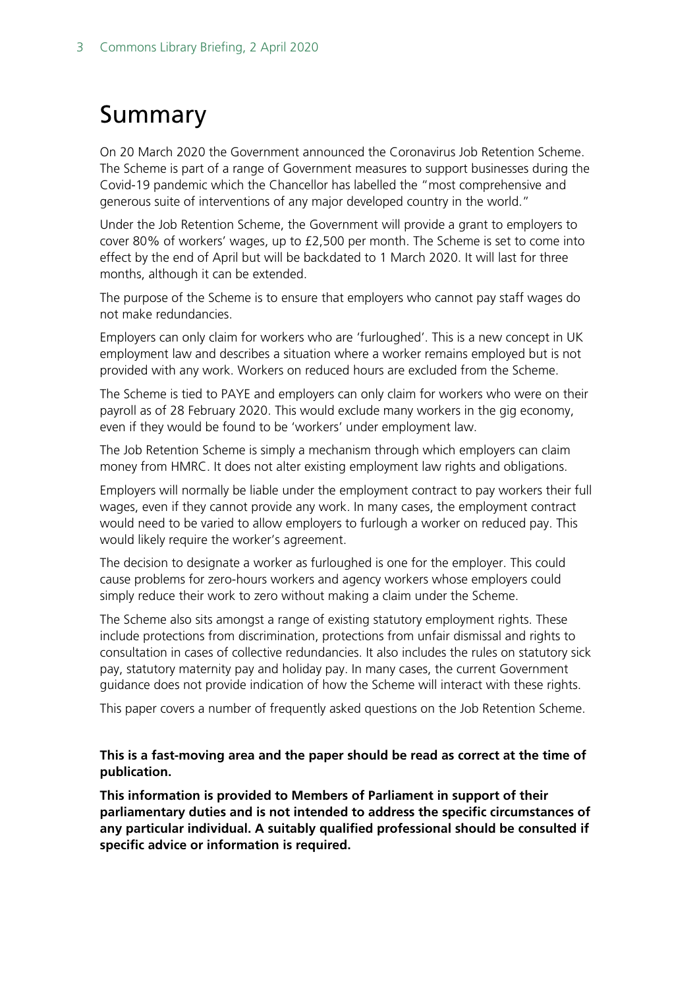## <span id="page-2-0"></span>Summary

On 20 March 2020 the Government announced the Coronavirus Job Retention Scheme. The Scheme is part of a range of Government measures to support businesses during the Covid-19 pandemic which the Chancellor has labelled the "most comprehensive and generous suite of interventions of any major developed country in the world."

Under the Job Retention Scheme, the Government will provide a grant to employers to cover 80% of workers' wages, up to £2,500 per month. The Scheme is set to come into effect by the end of April but will be backdated to 1 March 2020. It will last for three months, although it can be extended.

The purpose of the Scheme is to ensure that employers who cannot pay staff wages do not make redundancies.

Employers can only claim for workers who are 'furloughed'. This is a new concept in UK employment law and describes a situation where a worker remains employed but is not provided with any work. Workers on reduced hours are excluded from the Scheme.

The Scheme is tied to PAYE and employers can only claim for workers who were on their payroll as of 28 February 2020. This would exclude many workers in the gig economy, even if they would be found to be 'workers' under employment law.

The Job Retention Scheme is simply a mechanism through which employers can claim money from HMRC. It does not alter existing employment law rights and obligations.

Employers will normally be liable under the employment contract to pay workers their full wages, even if they cannot provide any work. In many cases, the employment contract would need to be varied to allow employers to furlough a worker on reduced pay. This would likely require the worker's agreement.

The decision to designate a worker as furloughed is one for the employer. This could cause problems for zero-hours workers and agency workers whose employers could simply reduce their work to zero without making a claim under the Scheme.

The Scheme also sits amongst a range of existing statutory employment rights. These include protections from discrimination, protections from unfair dismissal and rights to consultation in cases of collective redundancies. It also includes the rules on statutory sick pay, statutory maternity pay and holiday pay. In many cases, the current Government guidance does not provide indication of how the Scheme will interact with these rights.

This paper covers a number of frequently asked questions on the Job Retention Scheme.

#### **This is a fast-moving area and the paper should be read as correct at the time of publication.**

**This information is provided to Members of Parliament in support of their parliamentary duties and is not intended to address the specific circumstances of any particular individual. A suitably qualified professional should be consulted if specific advice or information is required.**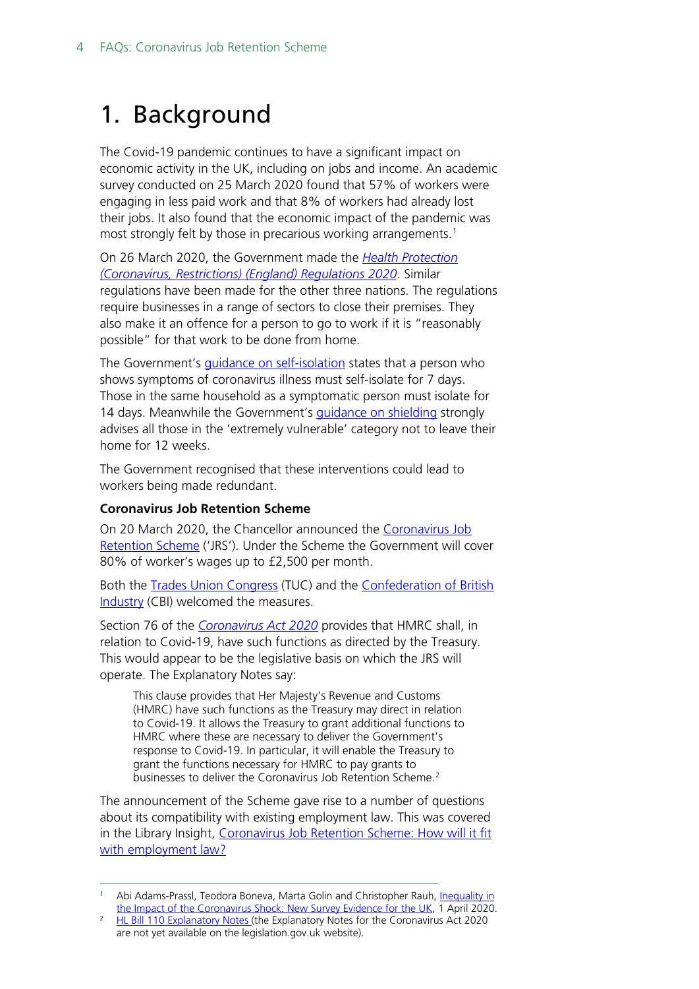## <span id="page-3-0"></span>1. Background

The Covid-19 pandemic continues to have a significant impact on economic activity in the UK, including on jobs and income. An academic survey conducted on 25 March 2020 found that 57% of workers were engaging in less paid work and that 8% of workers had already lost their jobs. It also found that the economic impact of the pandemic was most strongly felt by those in precarious working arrangements. [1](#page-3-1)

On 26 March 2020, the Government made the *[Health Protection](http://www.legislation.gov.uk/uksi/2020/350/contents/made)  [\(Coronavirus, Restrictions\)](http://www.legislation.gov.uk/uksi/2020/350/contents/made) (England) Regulations 2020*. Similar regulations have been made for the other three nations. The regulations require businesses in a range of sectors to close their premises. They also make it an offence for a person to go to work if it is "reasonably possible" for that work to be done from home.

The Government's quidance on self-isolation states that a person who shows symptoms of coronavirus illness must self-isolate for 7 days. Those in the same household as a symptomatic person must isolate for 14 days. Meanwhile the Government's quidance on shielding strongly advises all those in the 'extremely vulnerable' category not to leave their home for 12 weeks.

The Government recognised that these interventions could lead to workers being made redundant.

#### **Coronavirus Job Retention Scheme**

On 20 March 2020, the Chancellor announced the [Coronavirus Job](https://www.businesssupport.gov.uk/coronavirus-job-retention-scheme/)  [Retention Scheme](https://www.businesssupport.gov.uk/coronavirus-job-retention-scheme/) ('JRS'). Under the Scheme the Government will cover 80% of worker's wages up to £2,500 per month.

Both the [Trades Union Congress](https://twitter.com/The_TUC/status/1241062512612855808) (TUC) and the [Confederation of British](https://twitter.com/cbicarolyn/status/1241071810600472578)  [Industry](https://twitter.com/cbicarolyn/status/1241071810600472578) (CBI) welcomed the measures.

Section 76 of the *[Coronavirus Act 2020](http://www.legislation.gov.uk/ukpga/2020/7/contents/enacted/data.htm)* provides that HMRC shall, in relation to Covid-19, have such functions as directed by the Treasury. This would appear to be the legislative basis on which the JRS will operate. The Explanatory Notes say:

This clause provides that Her Majesty's Revenue and Customs (HMRC) have such functions as the Treasury may direct in relation to Covid-19. It allows the Treasury to grant additional functions to HMRC where these are necessary to deliver the Government's response to Covid-19. In particular, it will enable the Treasury to grant the functions necessary for HMRC to pay grants to businesses to deliver the Coronavirus Job Retention Scheme.<sup>[2](#page-3-2)</sup>

The announcement of the Scheme gave rise to a number of questions about its compatibility with existing employment law. This was covered in the Library Insight, Coronavirus Job Retention Scheme: How will it fit [with employment law?](https://commonslibrary.parliament.uk/economy-business/work-incomes/coronavirus-job-retention-scheme-how-will-it-fit-with-employment-law/)

<span id="page-3-1"></span>Abi Adams-Prassl, Teodora Boneva, Marta Golin and Christopher Rauh, Inequality in [the Impact of the Coronavirus Shock: New Survey Evidence for the UK,](https://abiadams.com/wp-content/uploads/2020/04/UK_Inequality_Briefing.pdf) 1 April 2020.

<span id="page-3-2"></span><sup>&</sup>lt;sup>2</sup> HL Bill 110 [Explanatory Notes \(t](https://publications.parliament.uk/pa/bills/lbill/58-01/110/5801110en.pdf#page=70)he Explanatory Notes for the Coronavirus Act 2020 are not yet available on the legislation.gov.uk website).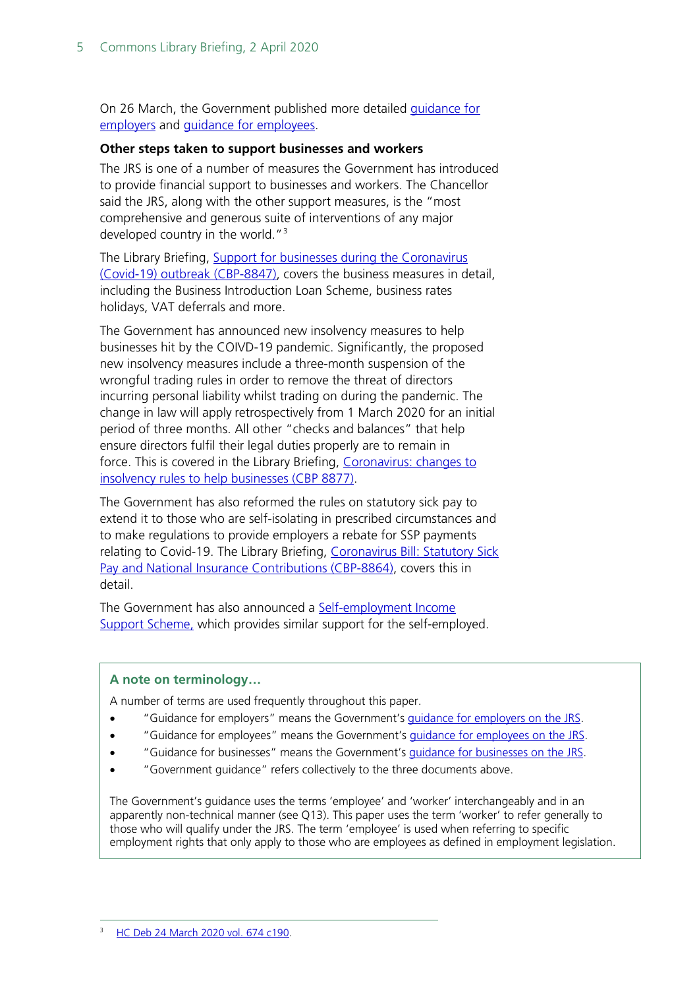On 26 March, the Government published more detailed [guidance for](https://www.gov.uk/guidance/claim-for-wage-costs-through-the-coronavirus-job-retention-scheme?fbclid=IwAR01rSs4rCE4YS-aLNhIjLHYOFTCyfFai2dDeniRYcWWyaROVwuDDBO1QKo)  [employers](https://www.gov.uk/guidance/claim-for-wage-costs-through-the-coronavirus-job-retention-scheme?fbclid=IwAR01rSs4rCE4YS-aLNhIjLHYOFTCyfFai2dDeniRYcWWyaROVwuDDBO1QKo) and [guidance for employees.](https://www.gov.uk/guidance/check-if-you-could-be-covered-by-the-coronavirus-job-retention-scheme)

#### **Other steps taken to support businesses and workers**

The JRS is one of a number of measures the Government has introduced to provide financial support to businesses and workers. The Chancellor said the JRS, along with the other support measures, is the "most comprehensive and generous suite of interventions of any major developed country in the world."<sup>[3](#page-4-0)</sup>

The Library Briefing, [Support for businesses during the Coronavirus](https://commonslibrary.parliament.uk/research-briefings/cbp-8847/)  [\(Covid-19\) outbreak \(CBP-8847\),](https://commonslibrary.parliament.uk/research-briefings/cbp-8847/) covers the business measures in detail, including the Business Introduction Loan Scheme, business rates holidays, VAT deferrals and more.

The Government has announced new insolvency measures to help businesses hit by the COIVD-19 pandemic. Significantly, the proposed new insolvency measures include a three-month suspension of the wrongful trading rules in order to remove the threat of directors incurring personal liability whilst trading on during the pandemic. The change in law will apply retrospectively from 1 March 2020 for an initial period of three months. All other "checks and balances" that help ensure directors fulfil their legal duties properly are to remain in force. This is covered in the Library Briefing, [Coronavirus: changes to](https://commonslibrary.parliament.uk/research-briefings/cbp-8877/)  [insolvency rules to help businesses \(CBP 8877\).](https://commonslibrary.parliament.uk/research-briefings/cbp-8877/)

The Government has also reformed the rules on statutory sick pay to extend it to those who are self-isolating in prescribed circumstances and to make regulations to provide employers a rebate for SSP payments relating to Covid-19. The Library Briefing, Coronavirus Bill: Statutory Sick [Pay and National Insurance Contributions \(CBP-8864\),](https://commonslibrary.parliament.uk/research-briefings/cbp-8864/) covers this in detail.

The Government has also announced a [Self-employment Income](https://www.businesssupport.gov.uk/self-employment-income-support-scheme/)  [Support Scheme,](https://www.businesssupport.gov.uk/self-employment-income-support-scheme/) which provides similar support for the self-employed.

#### **A note on terminology…**

A number of terms are used frequently throughout this paper.

- "Guidance for employers" means the Government's [guidance for employers](https://www.gov.uk/guidance/claim-for-wage-costs-through-the-coronavirus-job-retention-scheme?fbclid=IwAR01rSs4rCE4YS-aLNhIjLHYOFTCyfFai2dDeniRYcWWyaROVwuDDBO1QKo) on the JRS.
- "Guidance for employees" means the Government's [guidance for employees on the JRS.](https://www.gov.uk/guidance/check-if-you-could-be-covered-by-the-coronavirus-job-retention-scheme)
- "Guidance for businesses" means the Government's [guidance for businesses on the JRS.](https://www.businesssupport.gov.uk/coronavirus-job-retention-scheme/)
- "Government guidance" refers collectively to the three documents above.

<span id="page-4-0"></span>The Government's guidance uses the terms 'employee' and 'worker' interchangeably and in an apparently non-technical manner (see Q13). This paper uses the term 'worker' to refer generally to those who will qualify under the JRS. The term 'employee' is used when referring to specific employment rights that only apply to those who are employees as defined in employment legislation.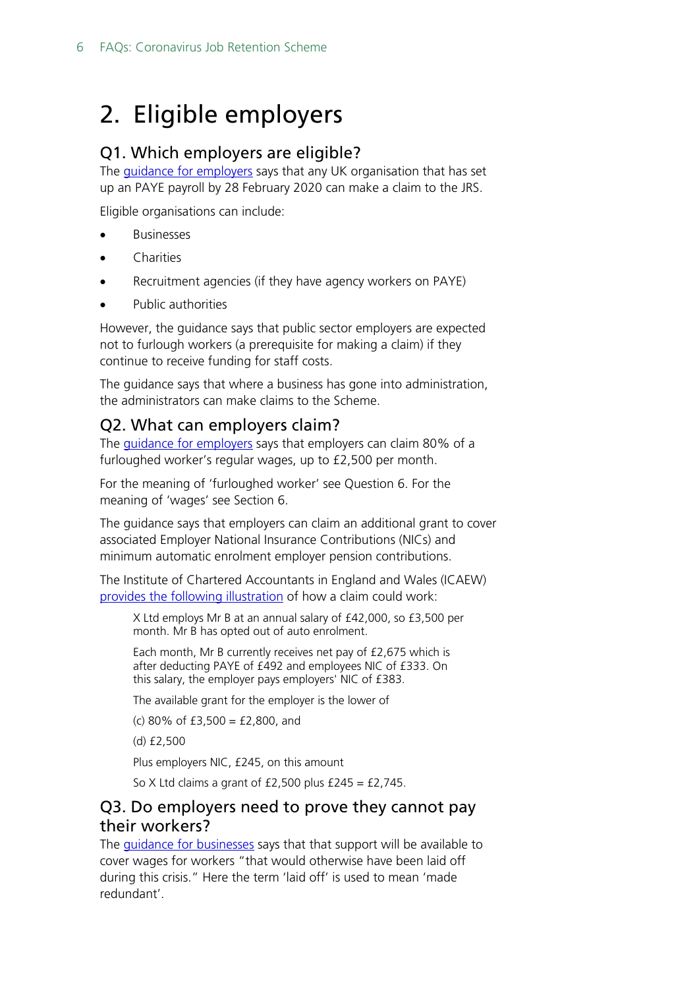## <span id="page-5-0"></span>2. Eligible employers

#### <span id="page-5-1"></span>Q1. Which employers are eligible?

The **guidance for employers** says that any UK organisation that has set up an PAYE payroll by 28 February 2020 can make a claim to the JRS.

Eligible organisations can include:

- Businesses
- **Charities**
- Recruitment agencies (if they have agency workers on PAYE)
- Public authorities

However, the guidance says that public sector employers are expected not to furlough workers (a prerequisite for making a claim) if they continue to receive funding for staff costs.

The guidance says that where a business has gone into administration, the administrators can make claims to the Scheme.

#### <span id="page-5-2"></span>Q2. What can employers claim?

The [guidance for employers](https://www.gov.uk/guidance/claim-for-wage-costs-through-the-coronavirus-job-retention-scheme?fbclid=IwAR01rSs4rCE4YS-aLNhIjLHYOFTCyfFai2dDeniRYcWWyaROVwuDDBO1QKo) says that employers can claim 80% of a furloughed worker's regular wages, up to £2,500 per month.

For the meaning of 'furloughed worker' see Question 6. For the meaning of 'wages' see Section 6.

The guidance says that employers can claim an additional grant to cover associated Employer National Insurance Contributions (NICs) and minimum automatic enrolment employer pension contributions.

The Institute of Chartered Accountants in England and Wales (ICAEW) [provides the following illustration](https://www.icaew.com/insights/viewpoints-on-the-news/2020/mar-2020/coronavirus-job-retention-scheme-furlough-guidance?utm_source=tax_twitter&utm_medium=social&utm_campaign=taxfac_jobsretention_furlough) of how a claim could work:

X Ltd employs Mr B at an annual salary of £42,000, so £3,500 per month. Mr B has opted out of auto enrolment.

Each month, Mr B currently receives net pay of £2,675 which is after deducting PAYE of £492 and employees NIC of £333. On this salary, the employer pays employers' NIC of £383.

The available grant for the employer is the lower of

(c) 80% of £3,500 = £2,800, and

(d) £2,500

Plus employers NIC, £245, on this amount

So X Ltd claims a grant of  $£2,500$  plus  $£245 = £2,745$ .

#### <span id="page-5-3"></span>Q3. Do employers need to prove they cannot pay their workers?

The *guidance for businesses* says that that support will be available to cover wages for workers "that would otherwise have been laid off during this crisis." Here the term 'laid off' is used to mean 'made redundant'.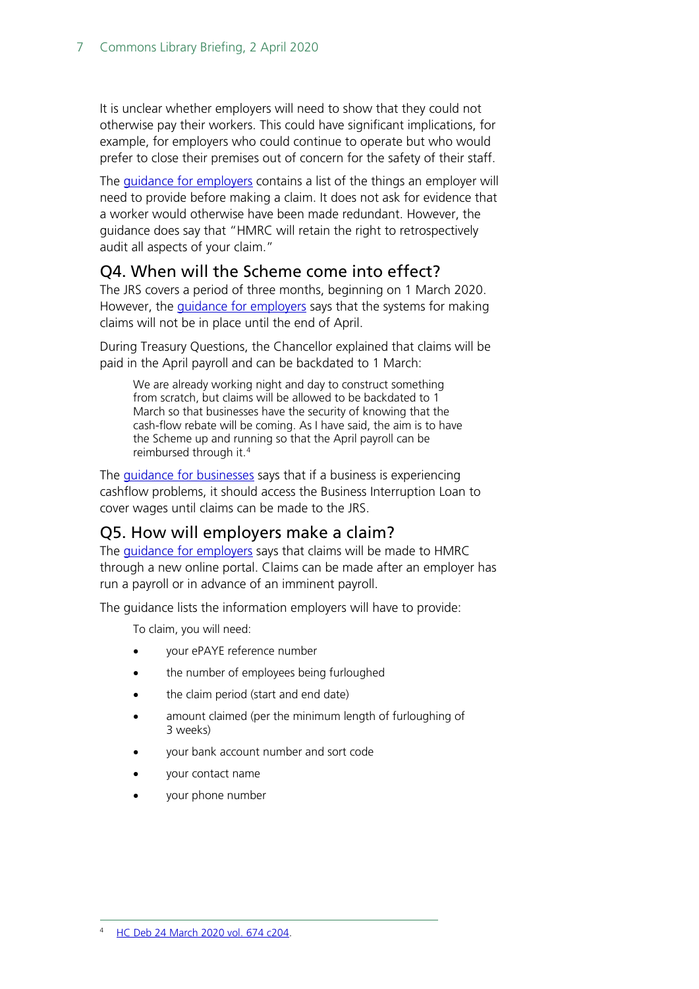It is unclear whether employers will need to show that they could not otherwise pay their workers. This could have significant implications, for example, for employers who could continue to operate but who would prefer to close their premises out of concern for the safety of their staff.

The [guidance for employers](https://www.gov.uk/guidance/claim-for-wage-costs-through-the-coronavirus-job-retention-scheme?fbclid=IwAR01rSs4rCE4YS-aLNhIjLHYOFTCyfFai2dDeniRYcWWyaROVwuDDBO1QKo) contains a list of the things an employer will need to provide before making a claim. It does not ask for evidence that a worker would otherwise have been made redundant. However, the guidance does say that "HMRC will retain the right to retrospectively audit all aspects of your claim."

#### <span id="page-6-0"></span>Q4. When will the Scheme come into effect?

The JRS covers a period of three months, beginning on 1 March 2020. However, the *guidance for employers* says that the systems for making claims will not be in place until the end of April.

During Treasury Questions, the Chancellor explained that claims will be paid in the April payroll and can be backdated to 1 March:

We are already working night and day to construct something from scratch, but claims will be allowed to be backdated to 1 March so that businesses have the security of knowing that the cash-flow rebate will be coming. As I have said, the aim is to have the Scheme up and running so that the April payroll can be reimbursed through it.[4](#page-6-2)

The *guidance for businesses* says that if a business is experiencing cashflow problems, it should access the Business Interruption Loan to cover wages until claims can be made to the JRS.

#### <span id="page-6-1"></span>Q5. How will employers make a claim?

The [guidance for employers](https://www.gov.uk/guidance/claim-for-wage-costs-through-the-coronavirus-job-retention-scheme?fbclid=IwAR01rSs4rCE4YS-aLNhIjLHYOFTCyfFai2dDeniRYcWWyaROVwuDDBO1QKo) says that claims will be made to HMRC through a new online portal. Claims can be made after an employer has run a payroll or in advance of an imminent payroll.

The guidance lists the information employers will have to provide:

To claim, you will need:

- your ePAYE reference number
- the number of employees being furloughed
- the claim period (start and end date)
- amount claimed (per the minimum length of furloughing of 3 weeks)
- your bank account number and sort code
- your contact name
- <span id="page-6-2"></span>• your phone number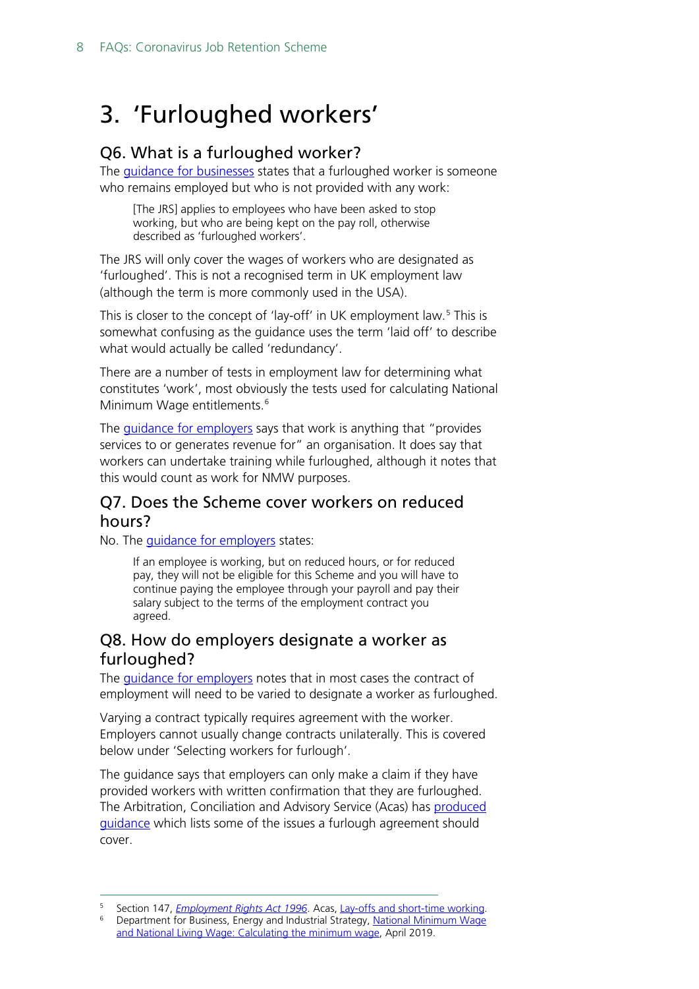## <span id="page-7-0"></span>3. 'Furloughed workers'

#### <span id="page-7-1"></span>Q6. What is a furloughed worker?

The quidance for businesses states that a furloughed worker is someone who remains employed but who is not provided with any work:

[The JRS] applies to employees who have been asked to stop working, but who are being kept on the pay roll, otherwise described as 'furloughed workers'.

The JRS will only cover the wages of workers who are designated as 'furloughed'. This is not a recognised term in UK employment law (although the term is more commonly used in the USA).

This is closer to the concept of 'lay-off' in UK employment law.<sup>[5](#page-7-4)</sup> This is somewhat confusing as the guidance uses the term 'laid off' to describe what would actually be called 'redundancy'.

There are a number of tests in employment law for determining what constitutes 'work', most obviously the tests used for calculating National Minimum Wage entitlements.<sup>[6](#page-7-5)</sup>

The *guidance for employers* says that work is anything that "provides" services to or generates revenue for" an organisation. It does say that workers can undertake training while furloughed, although it notes that this would count as work for NMW purposes.

#### <span id="page-7-2"></span>Q7. Does the Scheme cover workers on reduced hours?

No. The *quidance for employers* states:

If an employee is working, but on reduced hours, or for reduced pay, they will not be eligible for this Scheme and you will have to continue paying the employee through your payroll and pay their salary subject to the terms of the employment contract you agreed.

#### <span id="page-7-3"></span>Q8. How do employers designate a worker as furloughed?

The [guidance for employers](https://www.gov.uk/guidance/claim-for-wage-costs-through-the-coronavirus-job-retention-scheme?fbclid=IwAR01rSs4rCE4YS-aLNhIjLHYOFTCyfFai2dDeniRYcWWyaROVwuDDBO1QKo) notes that in most cases the contract of employment will need to be varied to designate a worker as furloughed.

Varying a contract typically requires agreement with the worker. Employers cannot usually change contracts unilaterally. This is covered below under 'Selecting workers for furlough'.

The guidance says that employers can only make a claim if they have provided workers with written confirmation that they are furloughed. The Arbitration, Conciliation and Advisory Service (Acas) has [produced](https://www.acas.org.uk/coronavirus/if-the-employer-needs-to-close-the-workplace)  [guidance](https://www.acas.org.uk/coronavirus/if-the-employer-needs-to-close-the-workplace) which lists some of the issues a furlough agreement should cover.

<span id="page-7-5"></span><span id="page-7-4"></span><sup>5</sup> Section 147, *[Employment Rights Act 1996](http://www.legislation.gov.uk/ukpga/1996/18/section/147)*. Acas, [Lay-offs and short-time working.](https://www.acas.org.uk/lay-offs-and-short-time-working)

Department for Business, Energy and Industrial Strategy, National Minimum Wage [and National Living Wage: Calculating the minimum wage,](https://assets.publishing.service.gov.uk/government/uploads/system/uploads/attachment_data/file/835794/calculating-minimum-wage-guidance-april-2019.pdf) April 2019.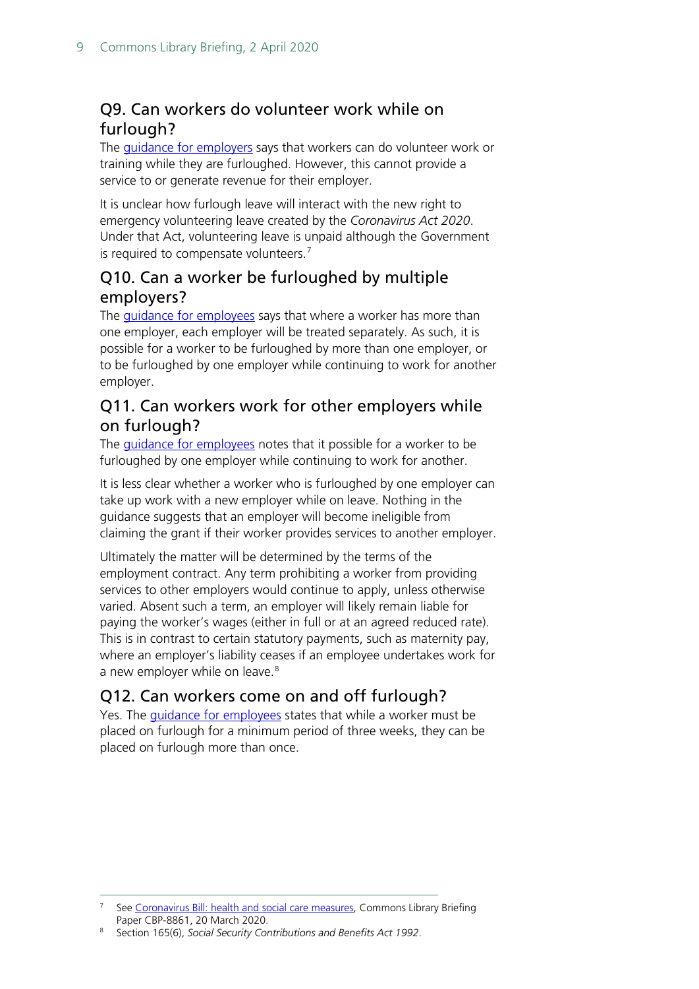### <span id="page-8-0"></span>Q9. Can workers do volunteer work while on furlough?

The [guidance for employers](https://www.gov.uk/guidance/claim-for-wage-costs-through-the-coronavirus-job-retention-scheme?fbclid=IwAR01rSs4rCE4YS-aLNhIjLHYOFTCyfFai2dDeniRYcWWyaROVwuDDBO1QKo) says that workers can do volunteer work or training while they are furloughed. However, this cannot provide a service to or generate revenue for their employer.

It is unclear how furlough leave will interact with the new right to emergency volunteering leave created by the *Coronavirus Act 2020*. Under that Act, volunteering leave is unpaid although the Government is required to compensate volunteers.<sup>[7](#page-8-4)</sup>

#### <span id="page-8-1"></span>Q10. Can a worker be furloughed by multiple employers?

The *guidance for employees* says that where a worker has more than one employer, each employer will be treated separately. As such, it is possible for a worker to be furloughed by more than one employer, or to be furloughed by one employer while continuing to work for another employer.

#### <span id="page-8-2"></span>Q11. Can workers work for other employers while on furlough?

The [guidance for employees](https://www.gov.uk/guidance/check-if-you-could-be-covered-by-the-coronavirus-job-retention-scheme) notes that it possible for a worker to be furloughed by one employer while continuing to work for another.

It is less clear whether a worker who is furloughed by one employer can take up work with a new employer while on leave. Nothing in the guidance suggests that an employer will become ineligible from claiming the grant if their worker provides services to another employer.

Ultimately the matter will be determined by the terms of the employment contract. Any term prohibiting a worker from providing services to other employers would continue to apply, unless otherwise varied. Absent such a term, an employer will likely remain liable for paying the worker's wages (either in full or at an agreed reduced rate). This is in contrast to certain statutory payments, such as maternity pay, where an employer's liability ceases if an employee undertakes work for a new employer while on leave.<sup>[8](#page-8-5)</sup>

### <span id="page-8-3"></span>Q12. Can workers come on and off furlough?

Yes. The [guidance for employees](https://www.gov.uk/guidance/check-if-you-could-be-covered-by-the-coronavirus-job-retention-scheme) states that while a worker must be placed on furlough for a minimum period of three weeks, they can be placed on furlough more than once.

<span id="page-8-4"></span><sup>7</sup> See [Coronavirus Bill: health and social care measures,](https://commonslibrary.parliament.uk/research-briefings/cbp-8861/) Commons Library Briefing Paper CBP-8861, 20 March 2020.

<span id="page-8-5"></span><sup>8</sup> Section 165(6), *Social Security Contributions and Benefits Act 1992*.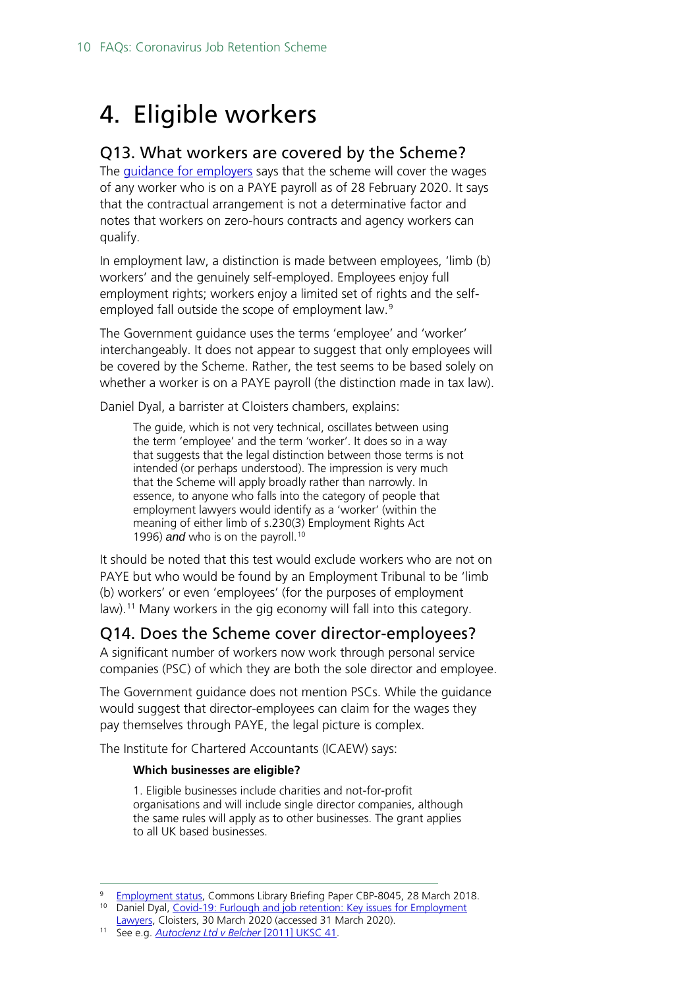## <span id="page-9-0"></span>4. Eligible workers

#### <span id="page-9-1"></span>Q13. What workers are covered by the Scheme?

The [guidance for employers](https://www.gov.uk/guidance/claim-for-wage-costs-through-the-coronavirus-job-retention-scheme?fbclid=IwAR01rSs4rCE4YS-aLNhIjLHYOFTCyfFai2dDeniRYcWWyaROVwuDDBO1QKo) says that the scheme will cover the wages of any worker who is on a PAYE payroll as of 28 February 2020. It says that the contractual arrangement is not a determinative factor and notes that workers on zero-hours contracts and agency workers can qualify.

In employment law, a distinction is made between employees, 'limb (b) workers' and the genuinely self-employed. Employees enjoy full employment rights; workers enjoy a limited set of rights and the self-employed fall outside the scope of employment law.<sup>[9](#page-9-3)</sup>

The Government guidance uses the terms 'employee' and 'worker' interchangeably. It does not appear to suggest that only employees will be covered by the Scheme. Rather, the test seems to be based solely on whether a worker is on a PAYE payroll (the distinction made in tax law).

Daniel Dyal, a barrister at Cloisters chambers, explains:

The guide, which is not very technical, oscillates between using the term 'employee' and the term 'worker'. It does so in a way that suggests that the legal distinction between those terms is not intended (or perhaps understood). The impression is very much that the Scheme will apply broadly rather than narrowly. In essence, to anyone who falls into the category of people that employment lawyers would identify as a 'worker' (within the meaning of either limb of s.230(3) Employment Rights Act 1996) *and* who is on the payroll.<sup>[10](#page-9-4)</sup>

It should be noted that this test would exclude workers who are not on PAYE but who would be found by an Employment Tribunal to be 'limb (b) workers' or even 'employees' (for the purposes of employment law). [11](#page-9-5) Many workers in the gig economy will fall into this category.

#### <span id="page-9-2"></span>Q14. Does the Scheme cover director-employees?

A significant number of workers now work through personal service companies (PSC) of which they are both the sole director and employee.

The Government guidance does not mention PSCs. While the guidance would suggest that director-employees can claim for the wages they pay themselves through PAYE, the legal picture is complex.

The Institute for Chartered Accountants (ICAEW) says:

#### **Which businesses are eligible?**

1. Eligible businesses include charities and not-for-profit organisations and will include single director companies, although the same rules will apply as to other businesses. The grant applies to all UK based businesses.

<span id="page-9-3"></span><sup>9</sup> [Employment status,](https://commonslibrary.parliament.uk/research-briefings/cbp-8045/) Commons Library Briefing Paper CBP-8045, 28 March 2018.

<span id="page-9-4"></span><sup>&</sup>lt;sup>10</sup> Daniel Dyal, Covid-19: Furlough and job retention: Key issues for Employment [Lawyers,](https://www.cloisters.com/furlough-job-retention-scheme/) Cloisters, 30 March 2020 (accessed 31 March 2020).

<span id="page-9-5"></span><sup>11</sup> See e.g. *[Autoclenz Ltd v Belcher](https://www.supremecourt.uk/cases/docs/uksc-2009-0198-judgment.pdf)* [2011] UKSC 41.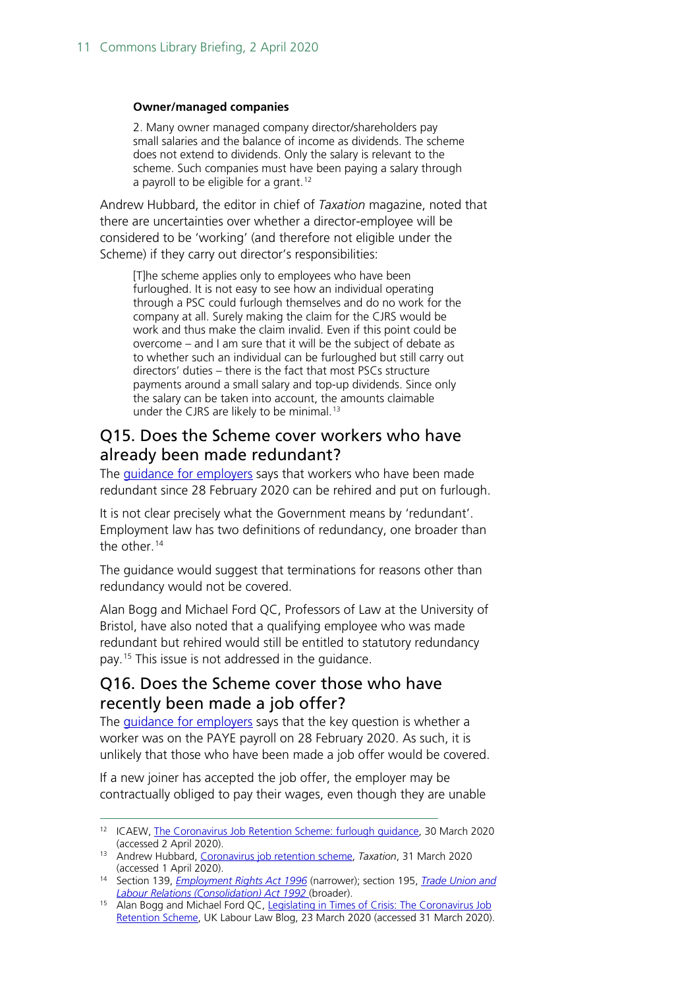#### **Owner/managed companies**

2. Many owner managed company director/shareholders pay small salaries and the balance of income as dividends. The scheme does not extend to dividends. Only the salary is relevant to the scheme. Such companies must have been paying a salary through a payroll to be eligible for a grant.<sup>[12](#page-10-2)</sup>

Andrew Hubbard, the editor in chief of *Taxation* magazine, noted that there are uncertainties over whether a director-employee will be considered to be 'working' (and therefore not eligible under the Scheme) if they carry out director's responsibilities:

[T]he scheme applies only to employees who have been furloughed. It is not easy to see how an individual operating through a PSC could furlough themselves and do no work for the company at all. Surely making the claim for the CJRS would be work and thus make the claim invalid. Even if this point could be overcome – and I am sure that it will be the subject of debate as to whether such an individual can be furloughed but still carry out directors' duties – there is the fact that most PSCs structure payments around a small salary and top-up dividends. Since only the salary can be taken into account, the amounts claimable under the CJRS are likely to be minimal.<sup>[13](#page-10-3)</sup>

#### <span id="page-10-0"></span>Q15. Does the Scheme cover workers who have already been made redundant?

The [guidance for employers](https://www.gov.uk/guidance/claim-for-wage-costs-through-the-coronavirus-job-retention-scheme?fbclid=IwAR01rSs4rCE4YS-aLNhIjLHYOFTCyfFai2dDeniRYcWWyaROVwuDDBO1QKo) says that workers who have been made redundant since 28 February 2020 can be rehired and put on furlough.

It is not clear precisely what the Government means by 'redundant'. Employment law has two definitions of redundancy, one broader than the other.<sup>[14](#page-10-4)</sup>

The guidance would suggest that terminations for reasons other than redundancy would not be covered.

Alan Bogg and Michael Ford QC, Professors of Law at the University of Bristol, have also noted that a qualifying employee who was made redundant but rehired would still be entitled to statutory redundancy pay.[15](#page-10-5) This issue is not addressed in the guidance.

#### <span id="page-10-1"></span>Q16. Does the Scheme cover those who have recently been made a job offer?

The *guidance for employers* says that the key question is whether a worker was on the PAYE payroll on 28 February 2020. As such, it is unlikely that those who have been made a job offer would be covered.

If a new joiner has accepted the job offer, the employer may be contractually obliged to pay their wages, even though they are unable

<span id="page-10-2"></span><sup>12</sup> ICAEW, [The Coronavirus Job Retention Scheme: furlough guidance,](https://www.icaew.com/insights/viewpoints-on-the-news/2020/mar-2020/coronavirus-job-retention-scheme-furlough-guidance?utm_source=tax_twitter&utm_medium=social&utm_campaign=taxfac_jobsretention_furlough) 30 March 2020 (accessed 2 April 2020).

<span id="page-10-3"></span><sup>13</sup> Andrew Hubbard, [Coronavirus job retention scheme,](https://www.taxation.co.uk/Articles/coronavirus-job-retention-scheme) *Taxation*, 31 March 2020 (accessed 1 April 2020).

<span id="page-10-4"></span><sup>14</sup> Section 139, *[Employment Rights Act 1996](http://www.legislation.gov.uk/ukpga/1996/18/section/139)* (narrower); section 195, *[Trade Union and](http://www.legislation.gov.uk/ukpga/1992/52/section/195)  [Labour Relations \(Consolidation\) Act 1992](http://www.legislation.gov.uk/ukpga/1992/52/section/195)* (broader).

<span id="page-10-5"></span><sup>15</sup> Alan Bogg and Michael Ford QC, Legislating in Times of Crisis: The Coronavirus Job [Retention Scheme,](https://uklabourlawblog.com/2020/03/23/legislating-in-times-of-crisis-the-coronavirus-job-retention-scheme-by-alan-bogg-and-michael-ford/) UK Labour Law Blog, 23 March 2020 (accessed 31 March 2020).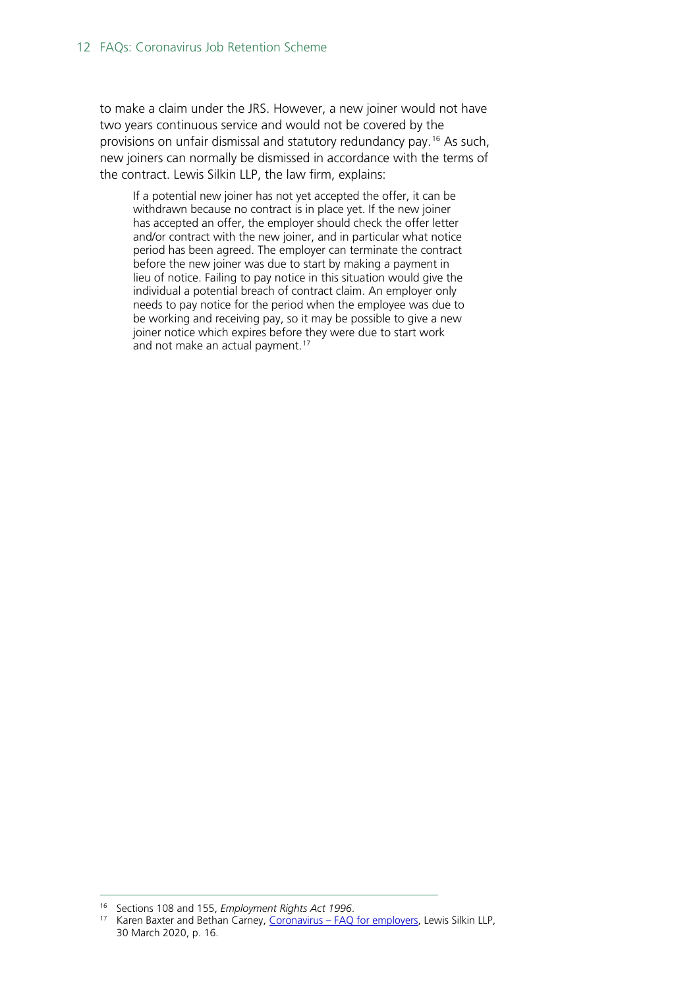to make a claim under the JRS. However, a new joiner would not have two years continuous service and would not be covered by the provisions on unfair dismissal and statutory redundancy pay.[16](#page-11-0) As such, new joiners can normally be dismissed in accordance with the terms of the contract. Lewis Silkin LLP, the law firm, explains:

If a potential new joiner has not yet accepted the offer, it can be withdrawn because no contract is in place yet. If the new joiner has accepted an offer, the employer should check the offer letter and/or contract with the new joiner, and in particular what notice period has been agreed. The employer can terminate the contract before the new joiner was due to start by making a payment in lieu of notice. Failing to pay notice in this situation would give the individual a potential breach of contract claim. An employer only needs to pay notice for the period when the employee was due to be working and receiving pay, so it may be possible to give a new joiner notice which expires before they were due to start work and not make an actual payment.<sup>[17](#page-11-1)</sup>

<sup>16</sup> Sections 108 and 155, *Employment Rights Act 1996*.

<span id="page-11-1"></span><span id="page-11-0"></span><sup>17</sup> Karen Baxter and Bethan Carney, Coronavirus – [FAQ for employers,](https://www.lewissilkin.com/en/insights/coronavirus-faqs-for-employers) Lewis Silkin LLP, 30 March 2020, p. 16.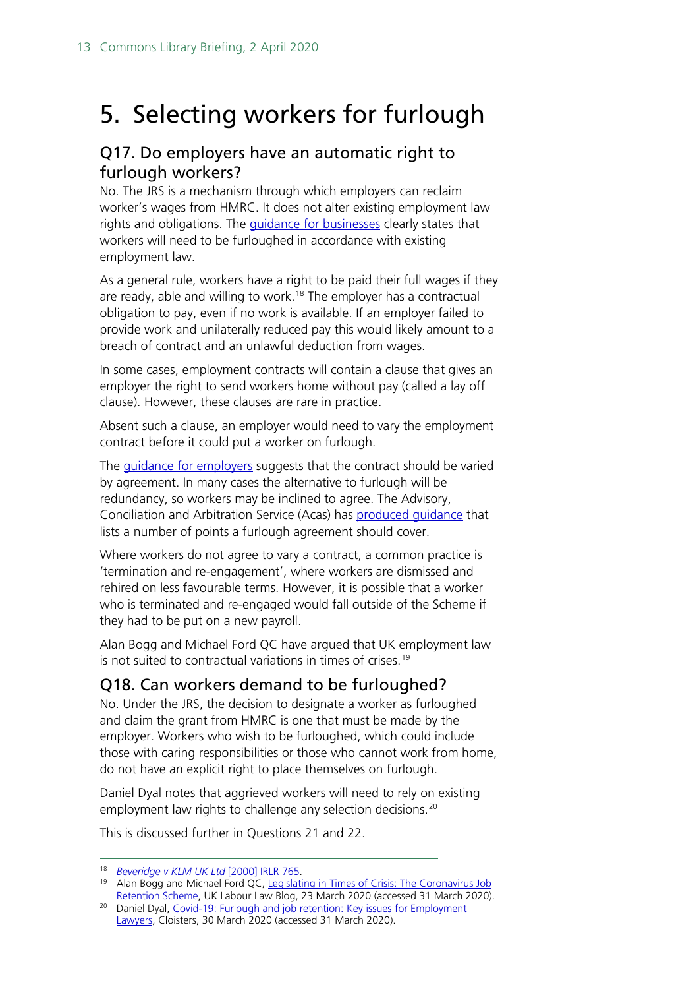## <span id="page-12-0"></span>5. Selecting workers for furlough

#### <span id="page-12-1"></span>Q17. Do employers have an automatic right to furlough workers?

No. The JRS is a mechanism through which employers can reclaim worker's wages from HMRC. It does not alter existing employment law rights and obligations. The *quidance for businesses* clearly states that workers will need to be furloughed in accordance with existing employment law.

As a general rule, workers have a right to be paid their full wages if they are ready, able and willing to work.<sup>[18](#page-12-3)</sup> The employer has a contractual obligation to pay, even if no work is available. If an employer failed to provide work and unilaterally reduced pay this would likely amount to a breach of contract and an unlawful deduction from wages.

In some cases, employment contracts will contain a clause that gives an employer the right to send workers home without pay (called a lay off clause). However, these clauses are rare in practice.

Absent such a clause, an employer would need to vary the employment contract before it could put a worker on furlough.

The *guidance for employers* suggests that the contract should be varied by agreement. In many cases the alternative to furlough will be redundancy, so workers may be inclined to agree. The Advisory, Conciliation and Arbitration Service (Acas) has [produced guidance](https://www.acas.org.uk/coronavirus/if-the-employer-needs-to-close-the-workplace) that lists a number of points a furlough agreement should cover.

Where workers do not agree to vary a contract, a common practice is 'termination and re-engagement', where workers are dismissed and rehired on less favourable terms. However, it is possible that a worker who is terminated and re-engaged would fall outside of the Scheme if they had to be put on a new payroll.

Alan Bogg and Michael Ford QC have argued that UK employment law is not suited to contractual variations in times of crises.<sup>[19](#page-12-4)</sup>

### <span id="page-12-2"></span>Q18. Can workers demand to be furloughed?

No. Under the JRS, the decision to designate a worker as furloughed and claim the grant from HMRC is one that must be made by the employer. Workers who wish to be furloughed, which could include those with caring responsibilities or those who cannot work from home, do not have an explicit right to place themselves on furlough.

Daniel Dyal notes that aggrieved workers will need to rely on existing employment law rights to challenge any selection decisions.<sup>[20](#page-12-5)</sup>

This is discussed further in Questions 21 and 22.

<sup>18</sup> *[Beveridge v KLM UK](https://www.bailii.org/uk/cases/UKEAT/2000/1044_99_1602.html) Ltd* [2000] IRLR 765.

<span id="page-12-4"></span><span id="page-12-3"></span><sup>&</sup>lt;sup>19</sup> Alan Bogg and Michael Ford QC, Legislating in Times of Crisis: The Coronavirus Job [Retention Scheme,](https://uklabourlawblog.com/2020/03/23/legislating-in-times-of-crisis-the-coronavirus-job-retention-scheme-by-alan-bogg-and-michael-ford/) UK Labour Law Blog, 23 March 2020 (accessed 31 March 2020).

<span id="page-12-5"></span><sup>&</sup>lt;sup>20</sup> Daniel Dyal, Covid-19: Furlough and job retention: Key issues for Employment [Lawyers,](https://www.cloisters.com/furlough-job-retention-scheme/) Cloisters, 30 March 2020 (accessed 31 March 2020).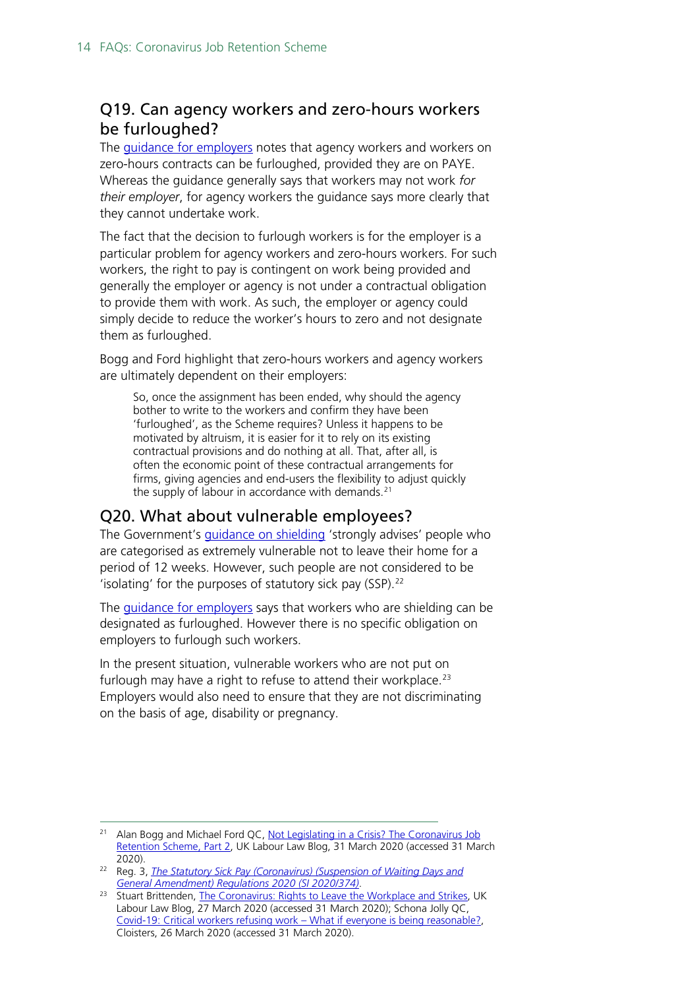### <span id="page-13-0"></span>Q19. Can agency workers and zero-hours workers be furloughed?

The [guidance for employers](https://www.gov.uk/guidance/claim-for-wage-costs-through-the-coronavirus-job-retention-scheme?fbclid=IwAR01rSs4rCE4YS-aLNhIjLHYOFTCyfFai2dDeniRYcWWyaROVwuDDBO1QKo) notes that agency workers and workers on zero-hours contracts can be furloughed, provided they are on PAYE. Whereas the guidance generally says that workers may not work *for their employer*, for agency workers the guidance says more clearly that they cannot undertake work.

The fact that the decision to furlough workers is for the employer is a particular problem for agency workers and zero-hours workers. For such workers, the right to pay is contingent on work being provided and generally the employer or agency is not under a contractual obligation to provide them with work. As such, the employer or agency could simply decide to reduce the worker's hours to zero and not designate them as furloughed.

Bogg and Ford highlight that zero-hours workers and agency workers are ultimately dependent on their employers:

So, once the assignment has been ended, why should the agency bother to write to the workers and confirm they have been 'furloughed', as the Scheme requires? Unless it happens to be motivated by altruism, it is easier for it to rely on its existing contractual provisions and do nothing at all. That, after all, is often the economic point of these contractual arrangements for firms, giving agencies and end-users the flexibility to adjust quickly the supply of labour in accordance with demands. $21$ 

#### <span id="page-13-1"></span>Q20. What about vulnerable employees?

The Government's *[guidance on shielding](https://www.gov.uk/government/publications/guidance-on-shielding-and-protecting-extremely-vulnerable-persons-from-covid-19/guidance-on-shielding-and-protecting-extremely-vulnerable-persons-from-covid-19)* 'strongly advises' people who are categorised as extremely vulnerable not to leave their home for a period of 12 weeks. However, such people are not considered to be 'isolating' for the purposes of statutory sick pay (SSP).<sup>[22](#page-13-3)</sup>

The *guidance for employers* says that workers who are shielding can be designated as furloughed. However there is no specific obligation on employers to furlough such workers.

In the present situation, vulnerable workers who are not put on furlough may have a right to refuse to attend their workplace.<sup>[23](#page-13-4)</sup> Employers would also need to ensure that they are not discriminating on the basis of age, disability or pregnancy.

<span id="page-13-2"></span><sup>&</sup>lt;sup>21</sup> Alan Bogg and Michael Ford QC, Not Legislating in a Crisis? The Coronavirus Job [Retention Scheme, Part 2,](https://uklabourlawblog.com/2020/03/31/not-legislating-in-a-crisis-the-coronavirus-job-retention-scheme-part-2-by-michael-ford-and-alan-bogg/) UK Labour Law Blog, 31 March 2020 (accessed 31 March 2020).

<span id="page-13-3"></span><sup>22</sup> Reg. 3, *[The Statutory Sick Pay \(Coronavirus\) \(Suspension of Waiting Days](http://www.legislation.gov.uk/uksi/2020/374/regulation/3/made) and [General Amendment\) Regulations 2020 \(SI 2020/374\)](http://www.legislation.gov.uk/uksi/2020/374/regulation/3/made)*.

<span id="page-13-4"></span><sup>&</sup>lt;sup>23</sup> Stuart Brittenden, [The Coronavirus: Rights to Leave the Workplace and Strikes,](https://uklabourlawblog.com/2020/03/27/the-coronavirus-rights-to-leave-the-workplace-and-strikes-by-stuart-brittenden/) UK Labour Law Blog, 27 March 2020 (accessed 31 March 2020); Schona Jolly QC, [Covid-19: Critical workers refusing work –](https://www.cloisters.com/covid-19-critical-workers-refusing-work-what-if-everyone-is-being-reasonable/) What if everyone is being reasonable?, Cloisters, 26 March 2020 (accessed 31 March 2020).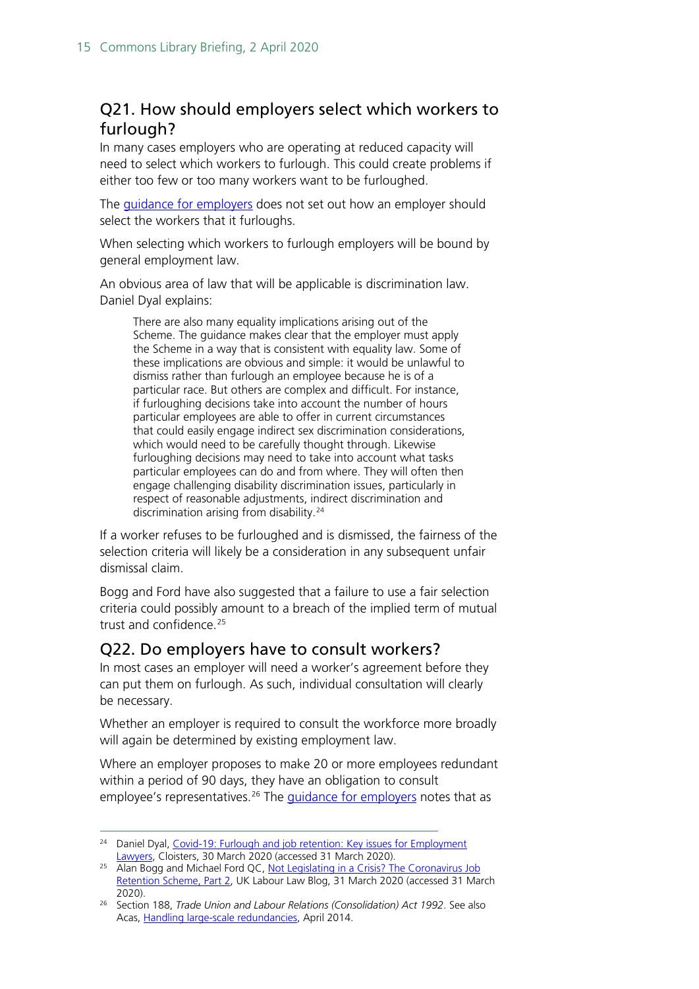### <span id="page-14-0"></span>Q21. How should employers select which workers to furlough?

In many cases employers who are operating at reduced capacity will need to select which workers to furlough. This could create problems if either too few or too many workers want to be furloughed.

The [guidance for employers](https://www.gov.uk/guidance/claim-for-wage-costs-through-the-coronavirus-job-retention-scheme?fbclid=IwAR01rSs4rCE4YS-aLNhIjLHYOFTCyfFai2dDeniRYcWWyaROVwuDDBO1QKo) does not set out how an employer should select the workers that it furloughs.

When selecting which workers to furlough employers will be bound by general employment law.

An obvious area of law that will be applicable is discrimination law. Daniel Dyal explains:

There are also many equality implications arising out of the Scheme. The guidance makes clear that the employer must apply the Scheme in a way that is consistent with equality law. Some of these implications are obvious and simple: it would be unlawful to dismiss rather than furlough an employee because he is of a particular race. But others are complex and difficult. For instance, if furloughing decisions take into account the number of hours particular employees are able to offer in current circumstances that could easily engage indirect sex discrimination considerations, which would need to be carefully thought through. Likewise furloughing decisions may need to take into account what tasks particular employees can do and from where. They will often then engage challenging disability discrimination issues, particularly in respect of reasonable adjustments, indirect discrimination and discrimination arising from disability.<sup>[24](#page-14-2)</sup>

If a worker refuses to be furloughed and is dismissed, the fairness of the selection criteria will likely be a consideration in any subsequent unfair dismissal claim.

Bogg and Ford have also suggested that a failure to use a fair selection criteria could possibly amount to a breach of the implied term of mutual trust and confidence.[25](#page-14-3)

#### <span id="page-14-1"></span>Q22. Do employers have to consult workers?

In most cases an employer will need a worker's agreement before they can put them on furlough. As such, individual consultation will clearly be necessary.

Whether an employer is required to consult the workforce more broadly will again be determined by existing employment law.

Where an employer proposes to make 20 or more employees redundant within a period of 90 days, they have an obligation to consult employee's representatives.<sup>26</sup> The *guidance for employers* notes that as

<span id="page-14-2"></span><sup>24</sup> Daniel Dyal, [Covid-19: Furlough and job retention: Key issues for Employment](https://www.cloisters.com/furlough-job-retention-scheme/)  [Lawyers,](https://www.cloisters.com/furlough-job-retention-scheme/) Cloisters, 30 March 2020 (accessed 31 March 2020).

<span id="page-14-3"></span><sup>&</sup>lt;sup>25</sup> Alan Bogg and Michael Ford QC, Not Legislating in a Crisis? The Coronavirus Job [Retention Scheme, Part 2,](https://uklabourlawblog.com/2020/03/31/not-legislating-in-a-crisis-the-coronavirus-job-retention-scheme-part-2-by-michael-ford-and-alan-bogg/) UK Labour Law Blog, 31 March 2020 (accessed 31 March 2020).

<span id="page-14-4"></span><sup>26</sup> Section 188, *Trade Union and Labour Relations (Consolidation) Act 1992*. See also Acas, [Handling large-scale redundancies,](https://archive.acas.org.uk/media/3650/Advisory-booklet---Handling-large-scale-collective-redundancies/pdf/Handling-large-scale-collective-redundancies-advisory-booklet.pdf) April 2014.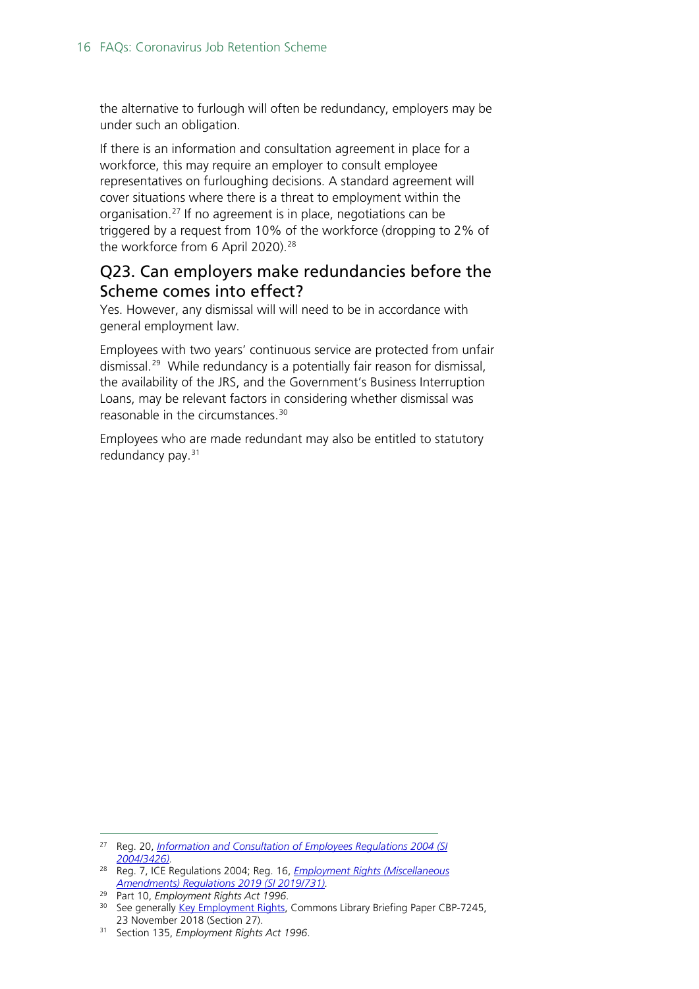the alternative to furlough will often be redundancy, employers may be under such an obligation.

If there is an information and consultation agreement in place for a workforce, this may require an employer to consult employee representatives on furloughing decisions. A standard agreement will cover situations where there is a threat to employment within the organisation.[27](#page-15-1) If no agreement is in place, negotiations can be triggered by a request from 10% of the workforce (dropping to 2% of the workforce from 6 April 2020).<sup>[28](#page-15-2)</sup>

#### <span id="page-15-0"></span>Q23. Can employers make redundancies before the Scheme comes into effect?

Yes. However, any dismissal will will need to be in accordance with general employment law.

Employees with two years' continuous service are protected from unfair dismissal.<sup>[29](#page-15-3)</sup> While redundancy is a potentially fair reason for dismissal, the availability of the JRS, and the Government's Business Interruption Loans, may be relevant factors in considering whether dismissal was reasonable in the circumstances.[30](#page-15-4)

Employees who are made redundant may also be entitled to statutory redundancy pay.<sup>[31](#page-15-5)</sup>

<span id="page-15-1"></span><sup>27</sup> Reg. 20, *Information and Consultation of [Employees Regulations 2004 \(SI](http://www.legislation.gov.uk/uksi/2004/3426/contents/made)  [2004/3426\).](http://www.legislation.gov.uk/uksi/2004/3426/contents/made)*

<span id="page-15-2"></span><sup>28</sup> Reg. 7, ICE Regulations 2004; Reg. 16, *[Employment Rights \(Miscellaneous](http://www.legislation.gov.uk/uksi/2019/731/contents/made)  [Amendments\) Regulations 2019 \(SI 2019/731\).](http://www.legislation.gov.uk/uksi/2019/731/contents/made)*

<span id="page-15-3"></span><sup>29</sup> Part 10, *Employment Rights Act 1996*.

<span id="page-15-4"></span><sup>&</sup>lt;sup>30</sup> See generally [Key Employment Rights,](https://commonslibrary.parliament.uk/research-briefings/cbp-7245/#fullreport) Commons Library Briefing Paper CBP-7245, 23 November 2018 (Section 27).

<span id="page-15-5"></span><sup>31</sup> Section 135, *Employment Rights Act 1996*.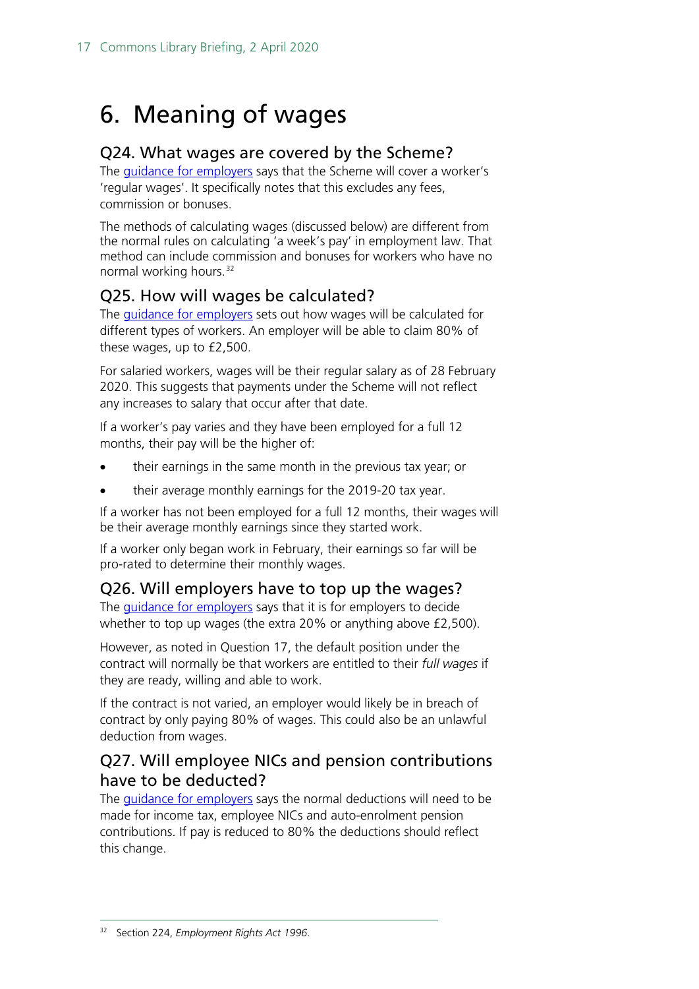## <span id="page-16-0"></span>6. Meaning of wages

#### <span id="page-16-1"></span>Q24. What wages are covered by the Scheme?

The [guidance for employers](https://www.gov.uk/guidance/claim-for-wage-costs-through-the-coronavirus-job-retention-scheme?fbclid=IwAR01rSs4rCE4YS-aLNhIjLHYOFTCyfFai2dDeniRYcWWyaROVwuDDBO1QKo) says that the Scheme will cover a worker's 'regular wages'. It specifically notes that this excludes any fees, commission or bonuses.

The methods of calculating wages (discussed below) are different from the normal rules on calculating 'a week's pay' in employment law. That method can include commission and bonuses for workers who have no normal working hours.<sup>[32](#page-16-5)</sup>

### <span id="page-16-2"></span>Q25. How will wages be calculated?

The *guidance for employers* sets out how wages will be calculated for different types of workers. An employer will be able to claim 80% of these wages, up to £2,500.

For salaried workers, wages will be their regular salary as of 28 February 2020. This suggests that payments under the Scheme will not reflect any increases to salary that occur after that date.

If a worker's pay varies and they have been employed for a full 12 months, their pay will be the higher of:

- their earnings in the same month in the previous tax year; or
- their average monthly earnings for the 2019-20 tax year.

If a worker has not been employed for a full 12 months, their wages will be their average monthly earnings since they started work.

If a worker only began work in February, their earnings so far will be pro-rated to determine their monthly wages.

#### <span id="page-16-3"></span>Q26. Will employers have to top up the wages?

The *guidance for employers* says that it is for employers to decide whether to top up wages (the extra 20% or anything above £2,500).

However, as noted in Question 17, the default position under the contract will normally be that workers are entitled to their *full wages* if they are ready, willing and able to work.

If the contract is not varied, an employer would likely be in breach of contract by only paying 80% of wages. This could also be an unlawful deduction from wages.

#### <span id="page-16-4"></span>Q27. Will employee NICs and pension contributions have to be deducted?

<span id="page-16-5"></span>The [guidance for employers](https://www.gov.uk/guidance/claim-for-wage-costs-through-the-coronavirus-job-retention-scheme?fbclid=IwAR01rSs4rCE4YS-aLNhIjLHYOFTCyfFai2dDeniRYcWWyaROVwuDDBO1QKo) says the normal deductions will need to be made for income tax, employee NICs and auto-enrolment pension contributions. If pay is reduced to 80% the deductions should reflect this change.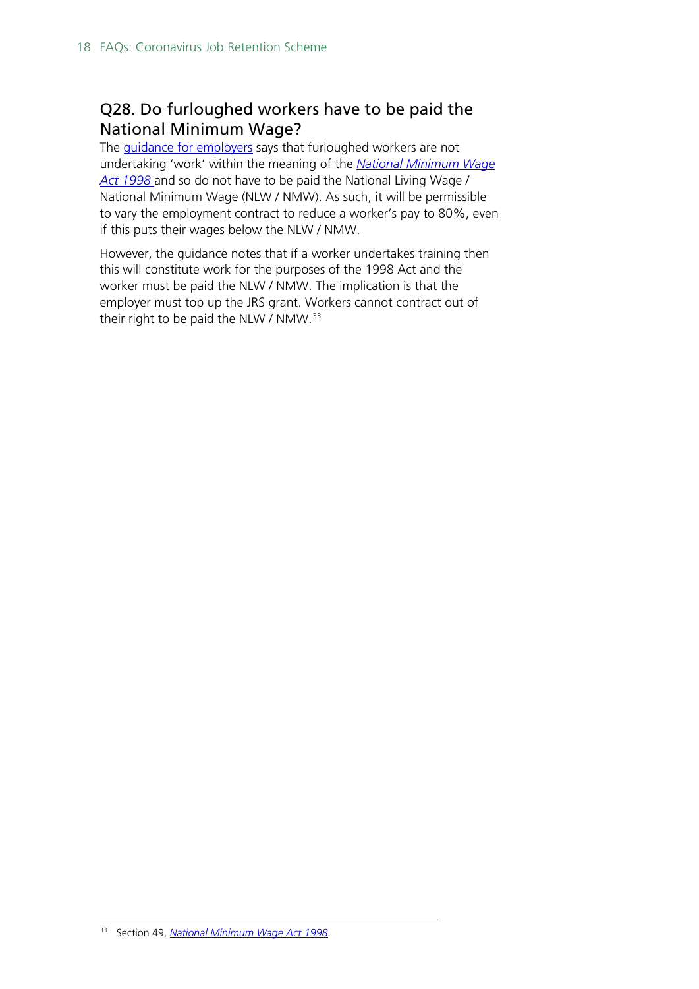### <span id="page-17-0"></span>Q28. Do furloughed workers have to be paid the National Minimum Wage?

The **guidance for employers** says that furloughed workers are not undertaking 'work' within the meaning of the *[National Minimum Wage](http://www.legislation.gov.uk/ukpga/1998/39/contents)  [Act 1998](http://www.legislation.gov.uk/ukpga/1998/39/contents)* and so do not have to be paid the National Living Wage / National Minimum Wage (NLW / NMW). As such, it will be permissible to vary the employment contract to reduce a worker's pay to 80%, even if this puts their wages below the NLW / NMW.

However, the guidance notes that if a worker undertakes training then this will constitute work for the purposes of the 1998 Act and the worker must be paid the NLW / NMW. The implication is that the employer must top up the JRS grant. Workers cannot contract out of their right to be paid the NLW / NMW. $33$ 

<span id="page-17-1"></span><sup>33</sup> Section 49, *[National Minimum Wage Act 1998](http://www.legislation.gov.uk/ukpga/1998/39/contents)*.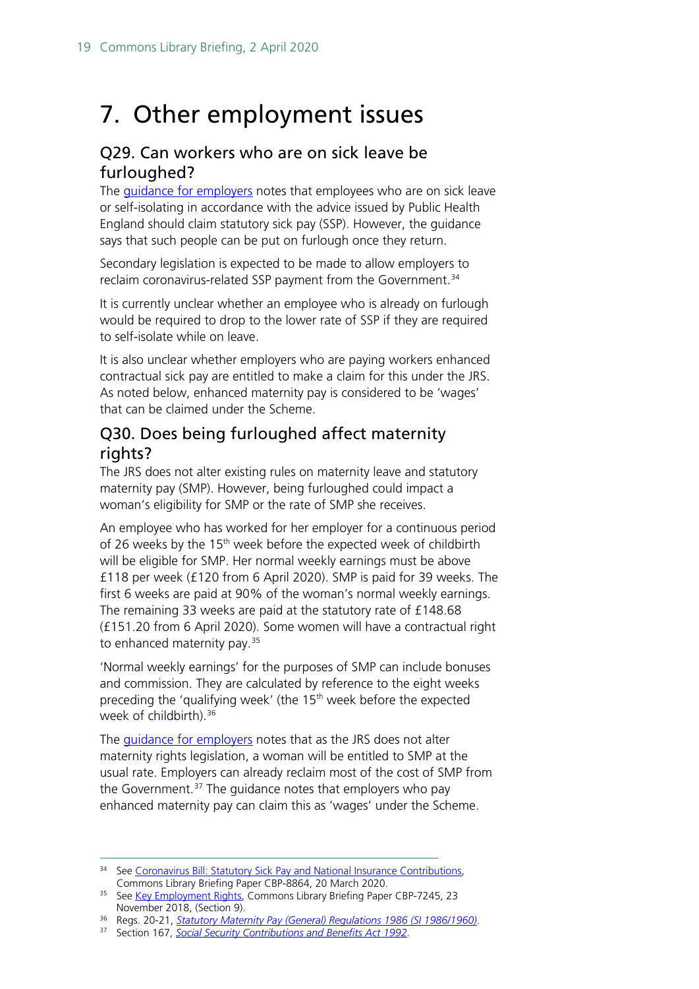## <span id="page-18-0"></span>7. Other employment issues

#### <span id="page-18-1"></span>Q29. Can workers who are on sick leave be furloughed?

The [guidance for employers](https://www.gov.uk/guidance/claim-for-wage-costs-through-the-coronavirus-job-retention-scheme?fbclid=IwAR01rSs4rCE4YS-aLNhIjLHYOFTCyfFai2dDeniRYcWWyaROVwuDDBO1QKo) notes that employees who are on sick leave or self-isolating in accordance with the advice issued by Public Health England should claim statutory sick pay (SSP). However, the guidance says that such people can be put on furlough once they return.

Secondary legislation is expected to be made to allow employers to reclaim coronavirus-related SSP payment from the Government.<sup>[34](#page-18-3)</sup>

It is currently unclear whether an employee who is already on furlough would be required to drop to the lower rate of SSP if they are required to self-isolate while on leave.

It is also unclear whether employers who are paying workers enhanced contractual sick pay are entitled to make a claim for this under the JRS. As noted below, enhanced maternity pay is considered to be 'wages' that can be claimed under the Scheme.

### <span id="page-18-2"></span>Q30. Does being furloughed affect maternity rights?

The JRS does not alter existing rules on maternity leave and statutory maternity pay (SMP). However, being furloughed could impact a woman's eligibility for SMP or the rate of SMP she receives.

An employee who has worked for her employer for a continuous period of 26 weeks by the 15<sup>th</sup> week before the expected week of childbirth will be eligible for SMP. Her normal weekly earnings must be above £118 per week (£120 from 6 April 2020). SMP is paid for 39 weeks. The first 6 weeks are paid at 90% of the woman's normal weekly earnings. The remaining 33 weeks are paid at the statutory rate of £148.68 (£151.20 from 6 April 2020). Some women will have a contractual right to enhanced maternity pay.<sup>[35](#page-18-4)</sup>

'Normal weekly earnings' for the purposes of SMP can include bonuses and commission. They are calculated by reference to the eight weeks preceding the 'qualifying week' (the 15<sup>th</sup> week before the expected week of childbirth).<sup>[36](#page-18-5)</sup>

The [guidance for employers](https://www.gov.uk/guidance/claim-for-wage-costs-through-the-coronavirus-job-retention-scheme?fbclid=IwAR01rSs4rCE4YS-aLNhIjLHYOFTCyfFai2dDeniRYcWWyaROVwuDDBO1QKo) notes that as the JRS does not alter maternity rights legislation, a woman will be entitled to SMP at the usual rate. Employers can already reclaim most of the cost of SMP from the Government.<sup>[37](#page-18-6)</sup> The guidance notes that employers who pay enhanced maternity pay can claim this as 'wages' under the Scheme.

<span id="page-18-3"></span><sup>&</sup>lt;sup>34</sup> See Coronavirus Bill: Statutory Sick Pay and National Insurance Contributions, Commons Library Briefing Paper CBP-8864, 20 March 2020.

<span id="page-18-4"></span><sup>&</sup>lt;sup>35</sup> See [Key Employment Rights,](https://commonslibrary.parliament.uk/research-briefings/cbp-7245/#fullreport) Commons Library Briefing Paper CBP-7245, 23 November 2018, (Section 9).

<span id="page-18-5"></span><sup>36</sup> Regs. 20-21, *[Statutory Maternity Pay \(General\) Regulations 1986 \(SI 1986/1960\)](http://www.legislation.gov.uk/uksi/1986/1960/contents)*.

<span id="page-18-6"></span><sup>37</sup> Section 167, *[Social Security Contributions and Benefits Act 1992](http://www.legislation.gov.uk/ukpga/1992/4/contents)*.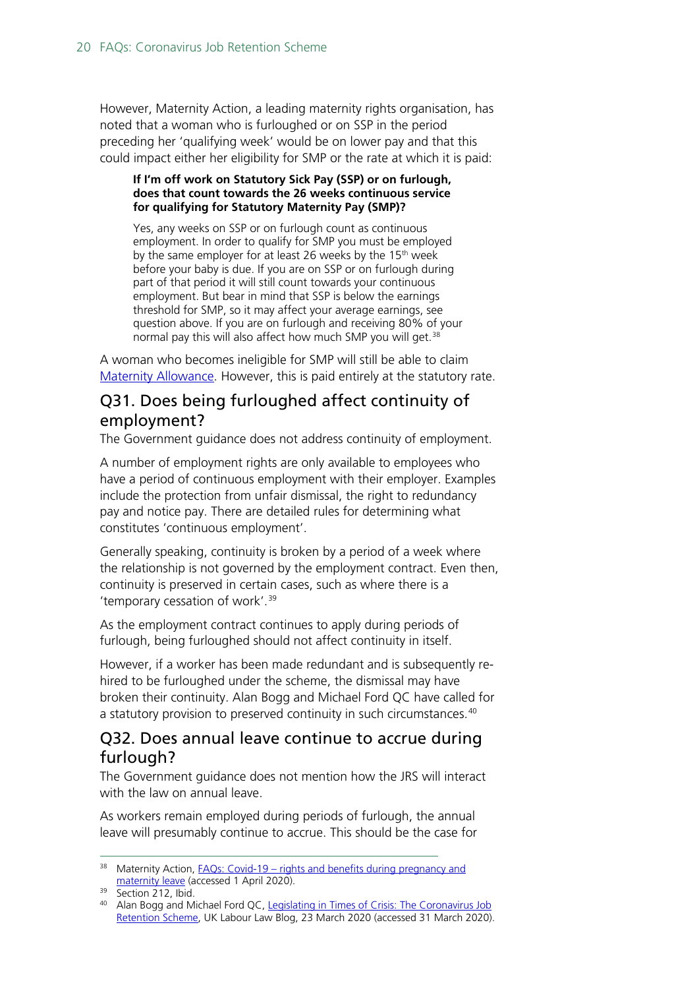However, Maternity Action, a leading maternity rights organisation, has noted that a woman who is furloughed or on SSP in the period preceding her 'qualifying week' would be on lower pay and that this could impact either her eligibility for SMP or the rate at which it is paid:

#### **If I'm off work on Statutory Sick Pay (SSP) or on furlough, does that count towards the 26 weeks continuous service for qualifying for Statutory Maternity Pay (SMP)?**

Yes, any weeks on SSP or on furlough count as continuous employment. In order to qualify for SMP you must be employed by the same employer for at least 26 weeks by the 15<sup>th</sup> week before your baby is due. If you are on SSP or on furlough during part of that period it will still count towards your continuous employment. But bear in mind that SSP is below the earnings threshold for SMP, so it may affect your average earnings, see question above. If you are on furlough and receiving 80% of your normal pay this will also affect how much SMP you will get.<sup>[38](#page-19-2)</sup>

A woman who becomes ineligible for SMP will still be able to claim [Maternity Allowance.](https://www.gov.uk/maternity-allowance) However, this is paid entirely at the statutory rate.

#### <span id="page-19-0"></span>Q31. Does being furloughed affect continuity of employment?

The Government guidance does not address continuity of employment.

A number of employment rights are only available to employees who have a period of continuous employment with their employer. Examples include the protection from unfair dismissal, the right to redundancy pay and notice pay. There are detailed rules for determining what constitutes 'continuous employment'.

Generally speaking, continuity is broken by a period of a week where the relationship is not governed by the employment contract. Even then, continuity is preserved in certain cases, such as where there is a 'temporary cessation of work'.[39](#page-19-3)

As the employment contract continues to apply during periods of furlough, being furloughed should not affect continuity in itself.

However, if a worker has been made redundant and is subsequently rehired to be furloughed under the scheme, the dismissal may have broken their continuity. Alan Bogg and Michael Ford QC have called for a statutory provision to preserved continuity in such circumstances.<sup>[40](#page-19-4)</sup>

#### <span id="page-19-1"></span>Q32. Does annual leave continue to accrue during furlough?

The Government guidance does not mention how the JRS will interact with the law on annual leave.

As workers remain employed during periods of furlough, the annual leave will presumably continue to accrue. This should be the case for

<span id="page-19-2"></span> $38$  Maternity Action, FAQs: Covid-19 – rights and benefits during pregnancy and [maternity leave](https://maternityaction.org.uk/covidmaternityfaqs/) (accessed 1 April 2020).

<span id="page-19-3"></span><sup>&</sup>lt;sup>39</sup> Section 212, Ibid.

<span id="page-19-4"></span><sup>40</sup> Alan Bogg and Michael Ford QC, Legislating in Times of Crisis: The Coronavirus Job [Retention Scheme,](https://uklabourlawblog.com/2020/03/23/legislating-in-times-of-crisis-the-coronavirus-job-retention-scheme-by-alan-bogg-and-michael-ford/) UK Labour Law Blog, 23 March 2020 (accessed 31 March 2020).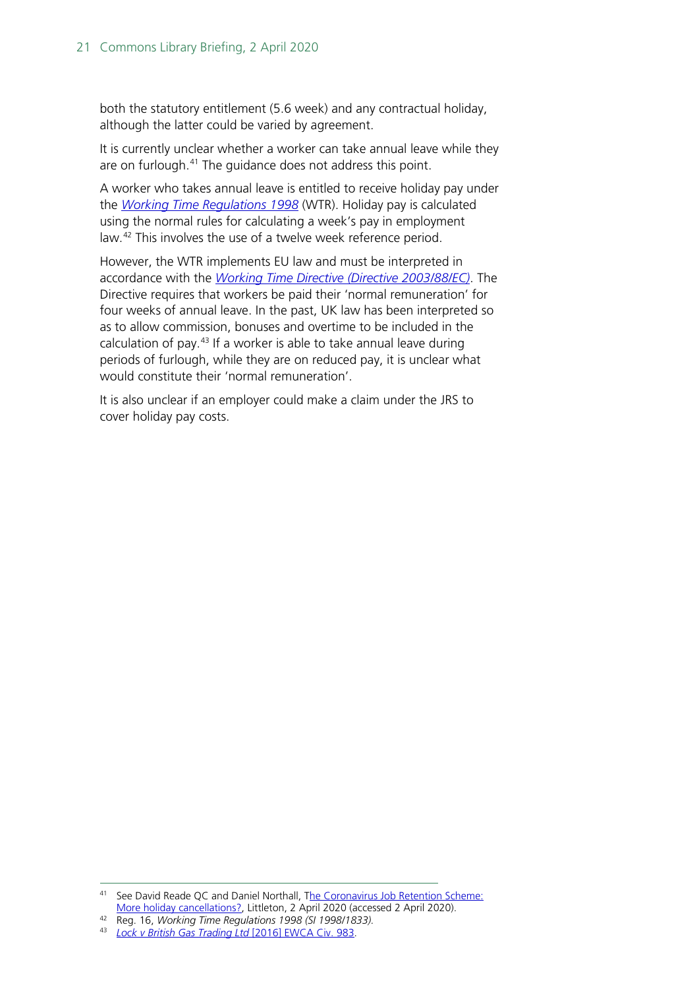both the statutory entitlement (5.6 week) and any contractual holiday, although the latter could be varied by agreement.

It is currently unclear whether a worker can take annual leave while they are on furlough.<sup>[41](#page-20-0)</sup> The guidance does not address this point.

A worker who takes annual leave is entitled to receive holiday pay under the *[Working Time Regulations](http://www.legislation.gov.uk/uksi/1998/1833/contents/made) 1998* (WTR). Holiday pay is calculated using the normal rules for calculating a week's pay in employment law.[42](#page-20-1) This involves the use of a twelve week reference period.

However, the WTR implements EU law and must be interpreted in accordance with the *[Working Time Directive \(Directive 2003/88/EC\)](https://eur-lex.europa.eu/legal-content/EN/TXT/?uri=celex%3A32003L0088)*. The Directive requires that workers be paid their 'normal remuneration' for four weeks of annual leave. In the past, UK law has been interpreted so as to allow commission, bonuses and overtime to be included in the calculation of pay. [43](#page-20-2) If a worker is able to take annual leave during periods of furlough, while they are on reduced pay, it is unclear what would constitute their 'normal remuneration'.

It is also unclear if an employer could make a claim under the JRS to cover holiday pay costs.

<span id="page-20-0"></span><sup>41</sup> See David Reade QC and Daniel Northall, The Coronavirus Job Retention Scheme: [More holiday cancellations?,](http://www.littletonchambers.com/the-coronavirus-job-retention-scheme-more-holiday-cancellations-1545) Littleton, 2 April 2020 (accessed 2 April 2020).

<span id="page-20-1"></span><sup>42</sup> Reg. 16, *Working Time Regulations 1998 (SI 1998/1833).*

<span id="page-20-2"></span><sup>43</sup> *[Lock v British Gas Trading Ltd](https://www.bailii.org/ew/cases/EWCA/Civ/2016/983.html)* [2016] EWCA Civ. 983.